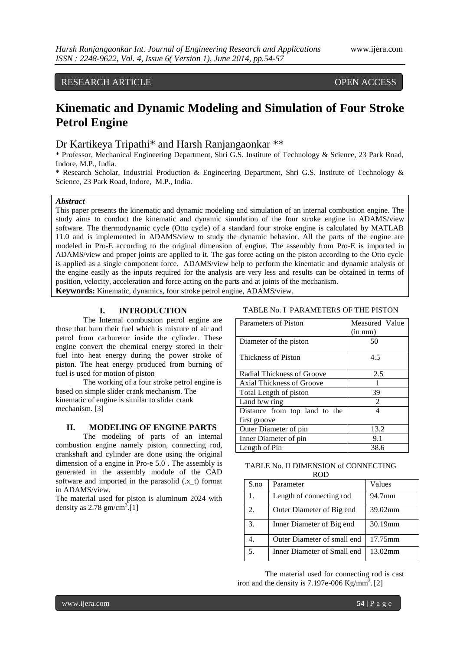## RESEARCH ARTICLE **CONTRACT OPEN ACCESS**

# **Kinematic and Dynamic Modeling and Simulation of Four Stroke Petrol Engine**

## Dr Kartikeya Tripathi\* and Harsh Ranjangaonkar \*\*

\* Professor, Mechanical Engineering Department, Shri G.S. Institute of Technology & Science, 23 Park Road, Indore, M.P., India.

\* Research Scholar, Industrial Production & Engineering Department, Shri G.S. Institute of Technology & Science, 23 Park Road, Indore, M.P., India.

## *Abstract*

This paper presents the kinematic and dynamic modeling and simulation of an internal combustion engine. The study aims to conduct the kinematic and dynamic simulation of the four stroke engine in ADAMS/view software. The thermodynamic cycle (Otto cycle) of a standard four stroke engine is calculated by MATLAB 11.0 and is implemented in ADAMS/view to study the dynamic behavior. All the parts of the engine are modeled in Pro-E according to the original dimension of engine. The assembly from Pro-E is imported in ADAMS/view and proper joints are applied to it. The gas force acting on the piston according to the Otto cycle is applied as a single component force. ADAMS/view help to perform the kinematic and dynamic analysis of the engine easily as the inputs required for the analysis are very less and results can be obtained in terms of position, velocity, acceleration and force acting on the parts and at joints of the mechanism.

**Keywords:** Kinematic, dynamics, four stroke petrol engine, ADAMS/view.

## **I. INTRODUCTION**

The Internal combustion petrol engine are those that burn their fuel which is mixture of air and petrol from carburetor inside the cylinder. These engine convert the chemical energy stored in their fuel into heat energy during the power stroke of piston. The heat energy produced from burning of fuel is used for motion of piston

The working of a four stroke petrol engine is based on simple slider crank mechanism. The kinematic of engine is similar to slider crank mechanism. [3]

## **II. MODELING OF ENGINE PARTS**

The modeling of parts of an internal combustion engine namely piston, connecting rod, crankshaft and cylinder are done using the original dimension of a engine in Pro-e 5.0 . The assembly is generated in the assembly module of the CAD software and imported in the parasolid (.x\_t) format in ADAMS/view.

The material used for piston is aluminum 2024 with density as  $2.78 \text{ gm/cm}^3$ .[1]

#### TABLE No. I PARAMETERS OF THE PISTON

| Parameters of Piston          | Measured Value |
|-------------------------------|----------------|
|                               | $(in \, mm)$   |
| Diameter of the piston        | 50             |
|                               |                |
| <b>Thickness of Piston</b>    | 4.5            |
|                               |                |
| Radial Thickness of Groove    | 2.5            |
| Axial Thickness of Groove     |                |
| Total Length of piston        | 39             |
| Land $b/w$ ring               | 2              |
| Distance from top land to the | 4              |
| first groove                  |                |
| Outer Diameter of pin         | 13.2           |
| Inner Diameter of pin         | 9.1            |
| Length of Pin                 | 38.6           |

#### TABLE No. II DIMENSION of CONNECTING  $POD$

| S.no | Parameter                   | Values            |
|------|-----------------------------|-------------------|
| 1.   | Length of connecting rod    | 94.7mm            |
| 2.   | Outer Diameter of Big end   | 39.02mm           |
| 3.   | Inner Diameter of Big end   | 30.19mm           |
| 4.   | Outer Diameter of small end | 17.75mm           |
| 5.   | Inner Diameter of Small end | $13.02 \text{mm}$ |

The material used for connecting rod is cast iron and the density is  $7.197e-006$  Kg/mm<sup>3</sup>. [2]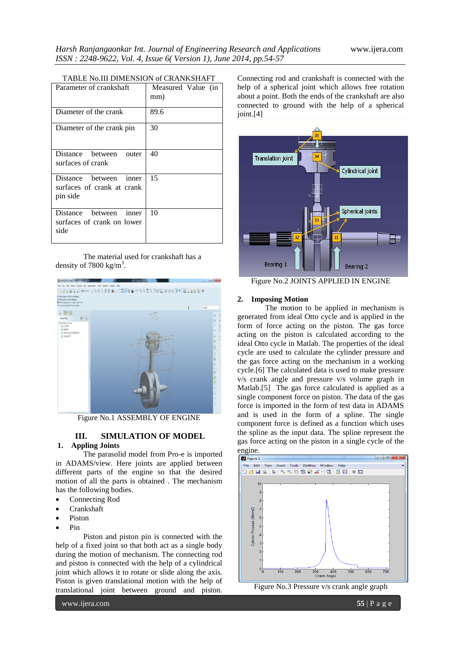| TABLE No.III DIMENSION of CRANKSHAFT                                |                    |  |
|---------------------------------------------------------------------|--------------------|--|
| Parameter of crankshaft                                             | Measured Value (in |  |
|                                                                     | mm)                |  |
| Diameter of the crank                                               | 89.6               |  |
| Diameter of the crank pin                                           | 30                 |  |
| Distance between outer<br>surfaces of crank                         | 40                 |  |
| Distance between<br>inner<br>surfaces of crank at crank<br>pin side | 15                 |  |
| Distance between<br>inner<br>surfaces of crank on lower<br>side     | 10                 |  |

The material used for crankshaft has a density of 7800 kg/m<sup>3</sup>.



Figure No.1 ASSEMBLY OF ENGINE

## **III. SIMULATION OF MODEL**

## **1. Appling Joints**

The parasolid model from Pro-e is imported in ADAMS/view. Here joints are applied between different parts of the engine so that the desired motion of all the parts is obtained . The mechanism has the following bodies.

- Connecting Rod
- Crankshaft
- Piston
- Pin

Piston and piston pin is connected with the help of a fixed joint so that both act as a single body during the motion of mechanism. The connecting rod and piston is connected with the help of a cylindrical joint which allows it to rotate or slide along the axis. Piston is given translational motion with the help of translational joint between ground and piston.

www.ijera.com **55** | P a g e

Connecting rod and crankshaft is connected with the help of a spherical joint which allows free rotation about a point. Both the ends of the crankshaft are also connected to ground with the help of a spherical joint.[4]



Figure No.2 JOINTS APPLIED IN ENGINE

### **2. Imposing Motion**

The motion to be applied in mechanism is generated from ideal Otto cycle and is applied in the form of force acting on the piston. The gas force acting on the piston is calculated according to the ideal Otto cycle in Matlab. The properties of the ideal cycle are used to calculate the cylinder pressure and the gas force acting on the mechanism in a working cycle.[6] The calculated data is used to make pressure v/s crank angle and pressure v/s volume graph in Matlab.[5] The gas force calculated is applied as a single component force on piston. The data of the gas force is imported in the form of test data in ADAMS and is used in the form of a spline. The single component force is defined as a function which uses the spline as the input data. The spline represent the gas force acting on the piston in a single cycle of the engine.

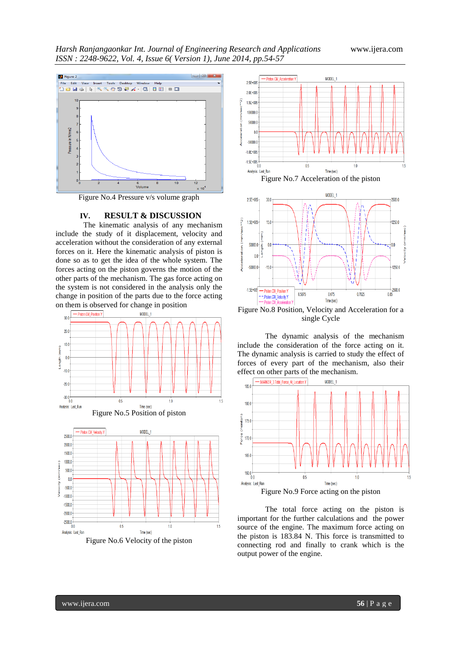

Figure No.4 Pressure v/s volume graph

## **IV. RESULT & DISCUSSION**

The kinematic analysis of any mechanism include the study of it displacement, velocity and acceleration without the consideration of any external forces on it. Here the kinematic analysis of piston is done so as to get the idea of the whole system. The forces acting on the piston governs the motion of the other parts of the mechanism. The gas force acting on the system is not considered in the analysis only the change in position of the parts due to the force acting on them is observed for change in position









Figure No.8 Position, Velocity and Acceleration for a single Cycle

The dynamic analysis of the mechanism include the consideration of the force acting on it. The dynamic analysis is carried to study the effect of forces of every part of the mechanism, also their effect on other parts of the mechanism.



The total force acting on the piston is important for the further calculations and the power source of the engine. The maximum force acting on the piston is 183.84 N. This force is transmitted to connecting rod and finally to crank which is the output power of the engine.